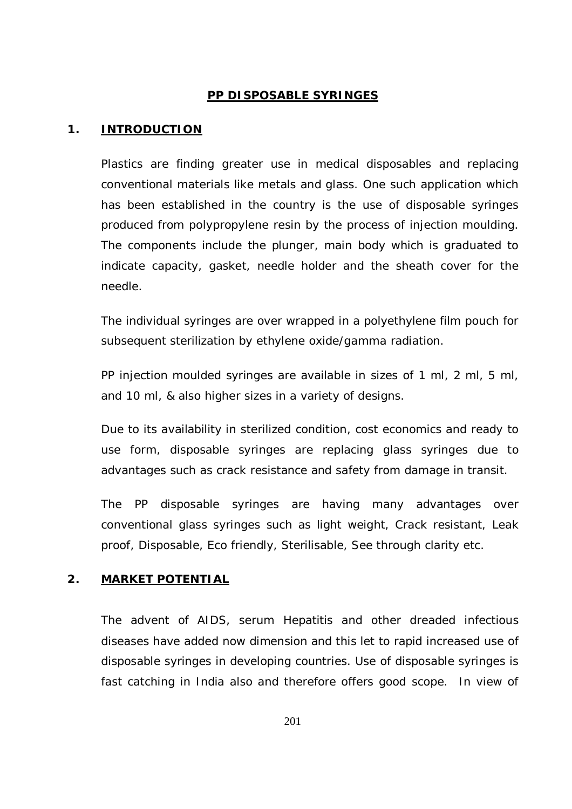# **PP DISPOSABLE SYRINGES**

#### **1. INTRODUCTION**

Plastics are finding greater use in medical disposables and replacing conventional materials like metals and glass. One such application which has been established in the country is the use of disposable syringes produced from polypropylene resin by the process of injection moulding. The components include the plunger, main body which is graduated to indicate capacity, gasket, needle holder and the sheath cover for the needle.

The individual syringes are over wrapped in a polyethylene film pouch for subsequent sterilization by ethylene oxide/gamma radiation.

PP injection moulded syringes are available in sizes of 1 ml, 2 ml, 5 ml, and 10 ml, & also higher sizes in a variety of designs.

Due to its availability in sterilized condition, cost economics and ready to use form, disposable syringes are replacing glass syringes due to advantages such as crack resistance and safety from damage in transit.

The PP disposable syringes are having many advantages over conventional glass syringes such as light weight, Crack resistant, Leak proof, Disposable, Eco friendly, Sterilisable, See through clarity etc.

### **2. MARKET POTENTIAL**

The advent of AIDS, serum Hepatitis and other dreaded infectious diseases have added now dimension and this let to rapid increased use of disposable syringes in developing countries. Use of disposable syringes is fast catching in India also and therefore offers good scope. In view of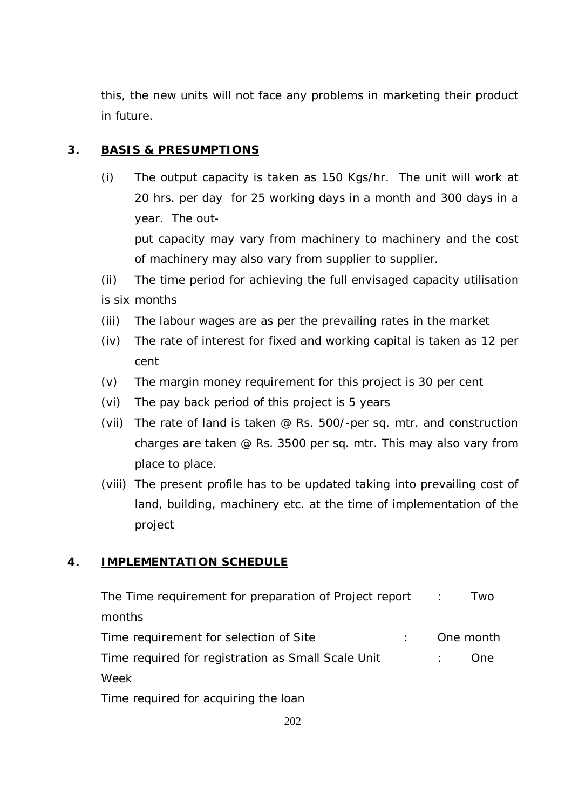this, the new units will not face any problems in marketing their product in future.

# **3. BASIS & PRESUMPTIONS**

- (i) The output capacity is taken as 150 Kgs/hr. The unit will work at 20 hrs. per day for 25 working days in a month and 300 days in a year. The output capacity may vary from machinery to machinery and the cost of machinery may also vary from supplier to supplier.
- (ii) The time period for achieving the full envisaged capacity utilisation is six months
- (iii) The labour wages are as per the prevailing rates in the market
- (iv) The rate of interest for fixed and working capital is taken as 12 per cent
- (v) The margin money requirement for this project is 30 per cent
- (vi) The pay back period of this project is 5 years
- (vii) The rate of land is taken @ Rs. 500/-per sq. mtr. and construction charges are taken @ Rs. 3500 per sq. mtr. This may also vary from place to place.
- (viii) The present profile has to be updated taking into prevailing cost of land, building, machinery etc. at the time of implementation of the project

# **4. IMPLEMENTATION SCHEDULE**

| The Time requirement for preparation of Project report |  | Two       |
|--------------------------------------------------------|--|-----------|
| months                                                 |  |           |
| Time requirement for selection of Site                 |  | One month |
| Time required for registration as Small Scale Unit     |  | One.      |
| Week                                                   |  |           |
| Time required for acquiring the loan                   |  |           |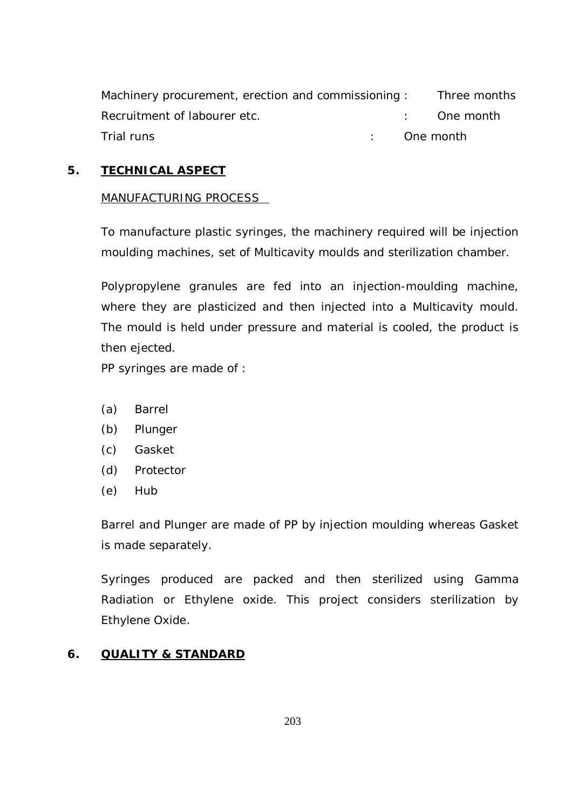Machinery procurement, erection and commissioning : Three months Recruitment of labourer etc. The month of the set of the month Trial runs in the contract of the contract of the contract of the contract of the contract of the contract of the contract of the contract of the contract of the contract of the contract of the contract of the contract of

# **5. TECHNICAL ASPECT**

## MANUFACTURING PROCESS

To manufacture plastic syringes, the machinery required will be injection moulding machines, set of Multicavity moulds and sterilization chamber.

Polypropylene granules are fed into an injection-moulding machine, where they are plasticized and then injected into a Multicavity mould. The mould is held under pressure and material is cooled, the product is then ejected.

PP syringes are made of :

- (a) Barrel
- (b) Plunger
- (c) Gasket
- (d) Protector
- (e) Hub

Barrel and Plunger are made of PP by injection moulding whereas Gasket is made separately.

Syringes produced are packed and then sterilized using Gamma Radiation or Ethylene oxide. This project considers sterilization by Ethylene Oxide.

# **6. QUALITY & STANDARD**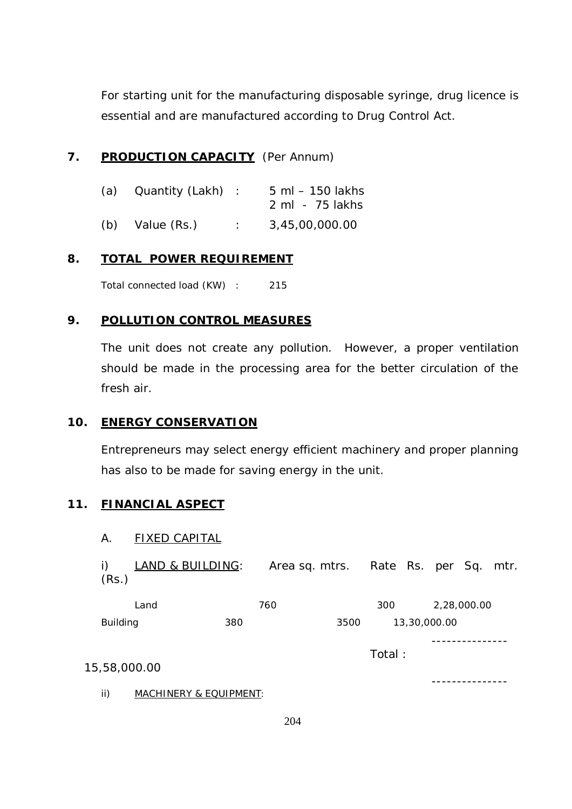For starting unit for the manufacturing disposable syringe, drug licence is essential and are manufactured according to Drug Control Act.

## **7. PRODUCTION CAPACITY** (Per Annum)

| (a) | Quantity (Lakh) : | $5$ ml $-$ 150 lakhs<br>2 ml - 75 lakhs |
|-----|-------------------|-----------------------------------------|
| (b) | Value (Rs.)       | 3,45,00,000.00                          |

## **8. TOTAL POWER REQUIREMENT**

Total connected load (KW) : 215

## **9. POLLUTION CONTROL MEASURES**

The unit does not create any pollution. However, a proper ventilation should be made in the processing area for the better circulation of the fresh air.

### **10. ENERGY CONSERVATION**

Entrepreneurs may select energy efficient machinery and proper planning has also to be made for saving energy in the unit.

### **11. FINANCIAL ASPECT**

### A. FIXED CAPITAL

| LAND & BUILDING:<br>(Rs.) |                        |      |        | Area sq. mtrs. Rate Rs. per Sq. mtr. |  |
|---------------------------|------------------------|------|--------|--------------------------------------|--|
| Land                      | 760                    |      | 300    | 2,28,000.00                          |  |
| <b>Building</b>           | 380                    | 3500 |        | 13,30,000.00                         |  |
| 15,58,000.00              |                        |      | Total: |                                      |  |
| ii)                       | MACHINERY & EQUIPMENT: |      |        |                                      |  |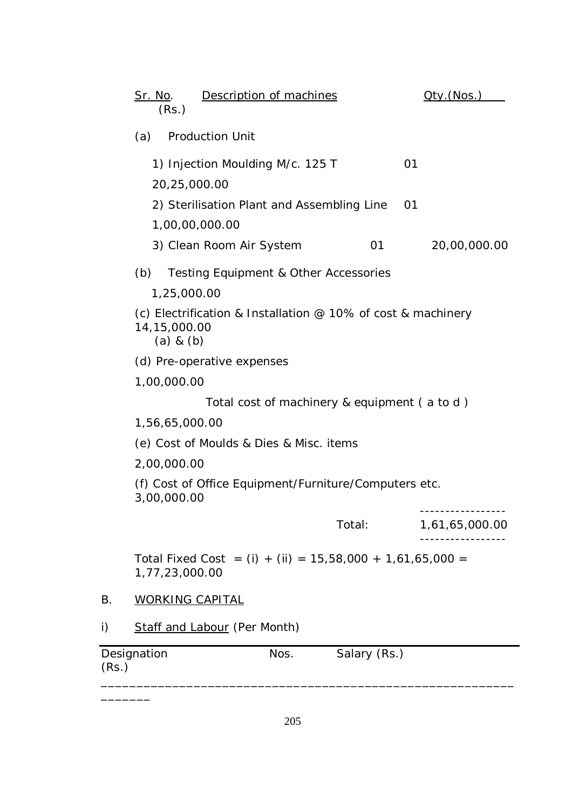|       | <u>Sr. No</u> .<br>(Rs.)                                                                        | Description of machines                      |              | <u> Qty.(Nos.)</u> |
|-------|-------------------------------------------------------------------------------------------------|----------------------------------------------|--------------|--------------------|
|       | <b>Production Unit</b><br>(a)                                                                   |                                              |              |                    |
|       | 1) Injection Moulding M/c. 125 T                                                                |                                              |              | 01                 |
|       | 20,25,000.00                                                                                    |                                              |              |                    |
|       | 2) Sterilisation Plant and Assembling Line                                                      |                                              |              | 01                 |
|       | 1,00,00,000.00                                                                                  |                                              |              |                    |
|       | 3) Clean Room Air System                                                                        |                                              | 01           | 20,00,000.00       |
|       | (b)<br>Testing Equipment & Other Accessories                                                    |                                              |              |                    |
|       | 1,25,000.00                                                                                     |                                              |              |                    |
|       | (c) Electrification & Installation $@$ 10% of cost & machinery<br>14,15,000.00<br>$(a)$ & $(b)$ |                                              |              |                    |
|       | (d) Pre-operative expenses                                                                      |                                              |              |                    |
|       | 1,00,000.00                                                                                     |                                              |              |                    |
|       |                                                                                                 | Total cost of machinery & equipment (a to d) |              |                    |
|       | 1,56,65,000.00                                                                                  |                                              |              |                    |
|       | (e) Cost of Moulds & Dies & Misc. items                                                         |                                              |              |                    |
|       | 2,00,000.00                                                                                     |                                              |              |                    |
|       | (f) Cost of Office Equipment/Furniture/Computers etc.<br>3,00,000.00                            |                                              |              |                    |
|       |                                                                                                 |                                              | Total:       | 1,61,65,000.00     |
|       | Total Fixed Cost = (i) + (ii) = $15,58,000 + 1,61,65,000 =$<br>1,77,23,000.00                   |                                              |              |                    |
| Β.    | <b>WORKING CAPITAL</b>                                                                          |                                              |              |                    |
| i)    | <b>Staff and Labour (Per Month)</b>                                                             |                                              |              |                    |
| (Rs.) | Designation                                                                                     | Nos.                                         | Salary (Rs.) |                    |

\_\_\_\_\_\_\_

\_\_\_\_\_\_\_\_\_\_\_\_\_\_\_\_\_\_\_\_\_\_\_\_\_\_\_\_\_\_\_\_\_\_\_\_\_\_\_\_\_\_\_\_\_\_\_\_\_\_\_\_\_\_\_\_\_\_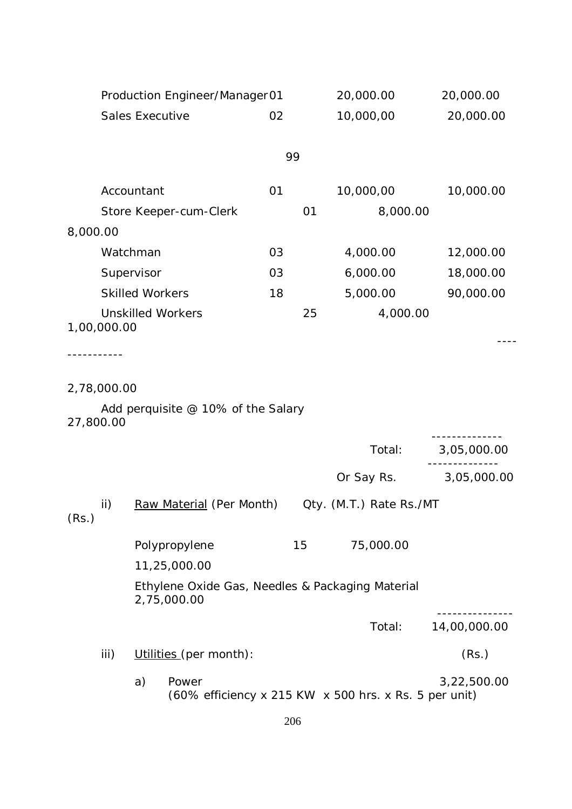|           |             |                        | Production Engineer/Manager01      |    |    | 20,000.00                                             | 20,000.00    |
|-----------|-------------|------------------------|------------------------------------|----|----|-------------------------------------------------------|--------------|
|           |             | <b>Sales Executive</b> |                                    | 02 |    | 10,000,00                                             | 20,000.00    |
|           |             |                        |                                    |    |    |                                                       |              |
|           |             |                        |                                    |    | 99 |                                                       |              |
|           |             | Accountant             |                                    | 01 |    | 10,000,00                                             | 10,000.00    |
|           |             |                        | Store Keeper-cum-Clerk             |    | 01 | 8,000.00                                              |              |
| 8,000.00  |             |                        |                                    |    |    |                                                       |              |
|           | Watchman    |                        |                                    | 03 |    | 4,000.00                                              | 12,000.00    |
|           | Supervisor  |                        |                                    | 03 |    | 6,000.00                                              | 18,000.00    |
|           |             | <b>Skilled Workers</b> |                                    | 18 |    | 5,000.00                                              | 90,000.00    |
|           | 1,00,000.00 |                        | <b>Unskilled Workers</b>           |    | 25 | 4,000.00                                              |              |
|           |             |                        |                                    |    |    |                                                       |              |
|           |             |                        |                                    |    |    |                                                       |              |
|           | 2,78,000.00 |                        |                                    |    |    |                                                       |              |
| 27,800.00 |             |                        | Add perquisite @ 10% of the Salary |    |    |                                                       |              |
|           |             |                        |                                    |    |    | Total:                                                | 3,05,000.00  |
|           |             |                        |                                    |    |    | Or Say Rs.                                            | 3,05,000.00  |
| (Rs.)     | ii)         |                        | Raw Material (Per Month)           |    |    | Qty. (M.T.) Rate Rs./MT                               |              |
|           |             |                        | Polypropylene<br>11,25,000.00      |    | 15 | 75,000.00                                             |              |
|           |             |                        | 2,75,000.00                        |    |    | Ethylene Oxide Gas, Needles & Packaging Material      |              |
|           |             |                        |                                    |    |    | Total:                                                | 14,00,000.00 |
|           | iii)        |                        | Utilities (per month):             |    |    |                                                       | (Rs.)        |
|           |             | a)                     | Power                              |    |    | (60% efficiency x 215 KW x 500 hrs. x Rs. 5 per unit) | 3,22,500.00  |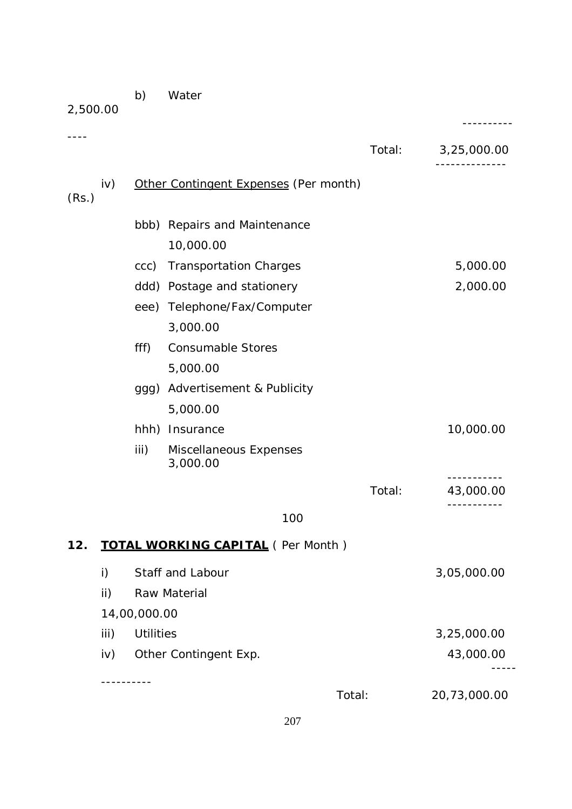| 2,500.00 |      |                  |                                          |        | --------                |
|----------|------|------------------|------------------------------------------|--------|-------------------------|
|          |      |                  |                                          | Total: | 3,25,000.00             |
| (Rs.)    | iv)  |                  | Other Contingent Expenses (Per month)    |        |                         |
|          |      | bbb)             | Repairs and Maintenance                  |        |                         |
|          |      |                  | 10,000.00                                |        |                         |
|          |      | ccc)             | <b>Transportation Charges</b>            |        | 5,000.00                |
|          |      | ddd)             | Postage and stationery                   |        | 2,000.00                |
|          |      |                  | eee) Telephone/Fax/Computer              |        |                         |
|          |      |                  | 3,000.00                                 |        |                         |
|          |      | fff)             | <b>Consumable Stores</b>                 |        |                         |
|          |      |                  | 5,000.00                                 |        |                         |
|          |      | ggg)             | Advertisement & Publicity                |        |                         |
|          |      |                  | 5,000.00                                 |        |                         |
|          |      | hhh)             | Insurance                                |        | 10,000.00               |
|          |      | iii)             | Miscellaneous Expenses<br>3,000.00       |        |                         |
|          |      |                  |                                          | Total: | 43,000.00<br>---------- |
|          |      |                  | 100                                      |        |                         |
| 12.      |      |                  | <b>TOTAL WORKING CAPITAL</b> (Per Month) |        |                         |
|          | i)   |                  | Staff and Labour                         |        | 3,05,000.00             |
|          | ii)  |                  | Raw Material                             |        |                         |
|          |      | 14,00,000.00     |                                          |        |                         |
|          | iii) | <b>Utilities</b> |                                          |        | 3,25,000.00             |
|          | iv)  |                  | Other Contingent Exp.                    |        | 43,000.00               |
|          |      |                  |                                          |        |                         |

b) Water

----------

Total: 20,73,000.00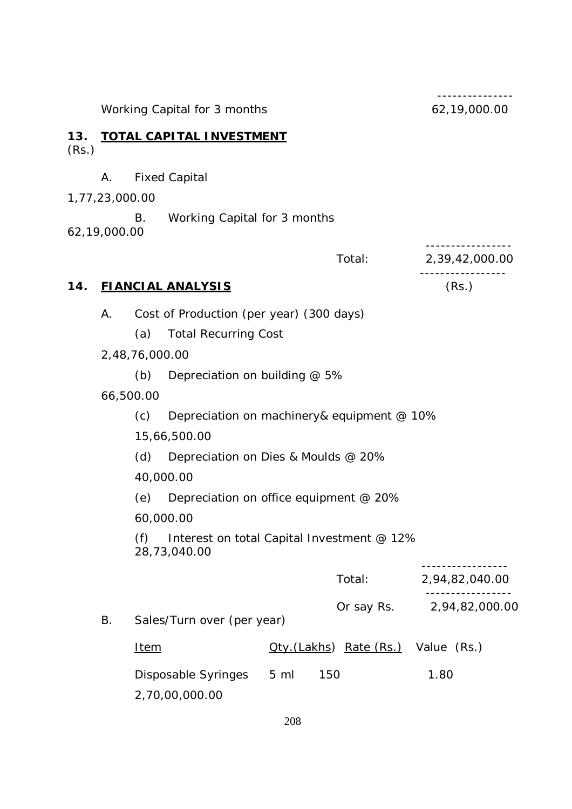Working Capital for 3 months 62,19,000.00

**13. TOTAL CAPITAL INVESTMENT** (Rs.)

- A. Fixed Capital
- 1,77,23,000.00

B. Working Capital for 3 months

62,19,000.00

Total: 2,39,42,000.00

# **14. FIANCIAL ANALYSIS** (Rs.)

A. Cost of Production (per year) (300 days)

- (a) Total Recurring Cost
- 2,48,76,000.00
	- (b) Depreciation on building @ 5%
- 66,500.00
	- (c) Depreciation on machinery& equipment @ 10%
	- 15,66,500.00
	- (d) Depreciation on Dies & Moulds @ 20%
	- 40,000.00
	- (e) Depreciation on office equipment @ 20%
	- 60,000.00

(f) Interest on total Capital Investment @ 12% 28,73,040.00

|    |                            |           | Total:                              | 2,94,82,040.00 |
|----|----------------------------|-----------|-------------------------------------|----------------|
| В. | Sales/Turn over (per year) |           | Or say Rs.                          | 2,94,82,000.00 |
|    | Item                       |           | Oty. (Lakhs) Rate (Rs.) Value (Rs.) |                |
|    | Disposable Syringes        | $5 \,$ ml | 150                                 | 1.80           |
|    | 2,70,00,000.00             |           |                                     |                |

---------------

-----------------

-----------------

-----------------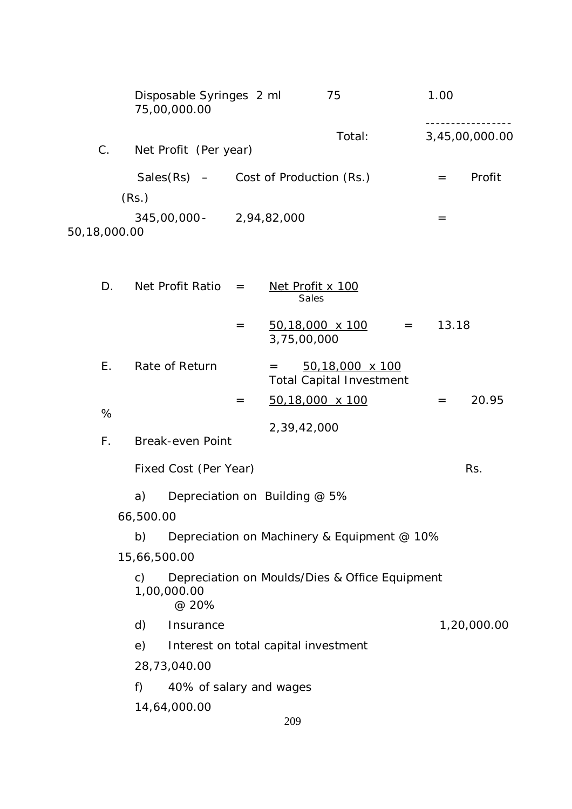|              | Disposable Syringes 2 ml<br>75,00,000.00  |             | 75     | 1.00 |                |
|--------------|-------------------------------------------|-------------|--------|------|----------------|
| $C_{\cdot}$  | Net Profit (Per year)                     |             | Total: |      | 3,45,00,000.00 |
|              | Sales $(Rs)$ – Cost of Production $(Rs.)$ |             |        | $=$  | Profit         |
|              | (Rs.)                                     |             |        |      |                |
| 50,18,000.00 | $345,00,000 -$                            | 2,94,82,000 |        | $=$  |                |

| D. | Net Profit Ratio $=$    |     | Net Profit x 100<br>Sales                                                                                              |       |       |
|----|-------------------------|-----|------------------------------------------------------------------------------------------------------------------------|-------|-------|
|    |                         | $=$ | $50,18,000 \times 100$<br>$\mathcal{L}(\mathcal{L}(\mathcal{L}))=\mathcal{L}(\mathcal{L}(\mathcal{L}))$<br>3,75,00,000 | 13.18 |       |
| Е. | Rate of Return          |     | 50,18,000 x 100<br>$=$<br><b>Total Capital Investment</b>                                                              |       |       |
|    |                         | $=$ | 50,18,000 x 100                                                                                                        | $=$   | 20.95 |
| %  |                         |     | 2,39,42,000                                                                                                            |       |       |
| F. | <b>Break-even Point</b> |     |                                                                                                                        |       |       |
|    | Fixed Cost (Per Year)   |     |                                                                                                                        |       | Rs.   |
|    | a)                      |     | Depreciation on Building @ 5%                                                                                          |       |       |
|    | 66,500.00               |     |                                                                                                                        |       |       |

b) Depreciation on Machinery & Equipment @ 10%

## 15,66,500.00

c) Depreciation on Moulds/Dies & Office Equipment 1,00,000.00 @ 20%

- d) Insurance 1,20,000.00
- e) Interest on total capital investment
- 28,73,040.00
- f) 40% of salary and wages
- 14,64,000.00